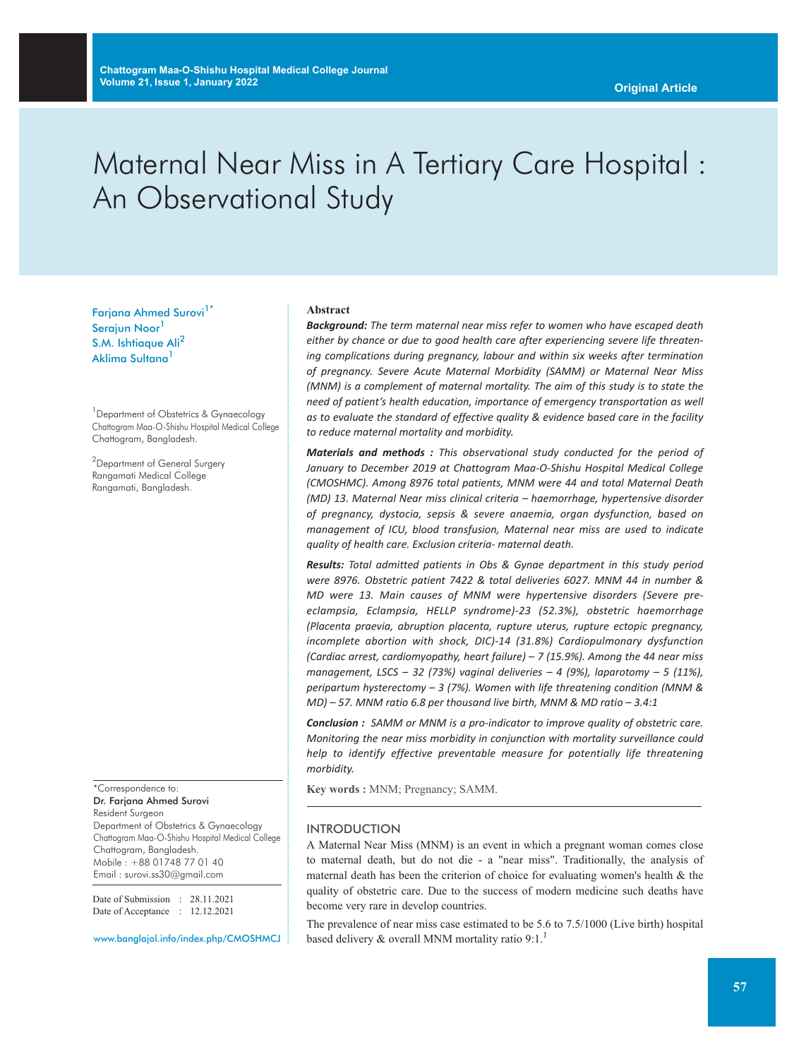# Maternal Near Miss in A Tertiary Care Hospital : An Observational Study

Farjana Ahmed Surovi<sup>1\*</sup> Serajun Noor<sup>1</sup> S.M. Ishtiaque Ali<sup>2</sup> Aklima Sultana<sup>1</sup>

<sup>1</sup> Department of Obstetrics & Gynaecology Chattogram Maa-O-Shishu Hospital Medical College Chattogram, Bangladesh.

 $^2$ Department of General Surgery Rangamati Medical College Rangamati, Bangladesh.

\*Correspondence to: Dr. Farjana Ahmed Surovi Resident Surgeon Department of Obstetrics & Gynaecology Chattogram Maa-O-Shishu Hospital Medical College Chattogram, Bangladesh. Mobile : +88 01748 77 01 40 Email : surovi.ss30@gmail.com

Date of Submission : 28.11.2021 Date of Acceptance : 12.12.2021

www.banglajol.info/index.php/CMOSHMCJ

#### **Abstract**

*Background: The term maternal near miss refer to women who have escaped death either by chance or due to good health care after experiencing severe life threatening complications during pregnancy, labour and within six weeks after termination of pregnancy. Severe Acute Maternal Morbidity (SAMM) or Maternal Near Miss (MNM) is a complement of maternal mortality. The aim of this study is to state the need of patient's health education, importance of emergency transportation as well as to evaluate the standard of effective quality & evidence based care in the facility to reduce maternal mortality and morbidity.*

*Materials and methods : This observational study conducted for the period of January to December 2019 at Chattogram Maa-O-Shishu Hospital Medical College (CMOSHMC). Among 8976 total patients, MNM were 44 and total Maternal Death (MD) 13. Maternal Near miss clinical criteria – haemorrhage, hypertensive disorder of pregnancy, dystocia, sepsis & severe anaemia, organ dysfunction, based on management of ICU, blood transfusion, Maternal near miss are used to indicate quality of health care. Exclusion criteria- maternal death.*

*Results: Total admitted patients in Obs & Gynae department in this study period were 8976. Obstetric patient 7422 & total deliveries 6027. MNM 44 in number & MD were 13. Main causes of MNM were hypertensive disorders (Severe preeclampsia, Eclampsia, HELLP syndrome)-23 (52.3%), obstetric haemorrhage (Placenta praevia, abruption placenta, rupture uterus, rupture ectopic pregnancy, incomplete abortion with shock, DIC)-14 (31.8%) Cardiopulmonary dysfunction (Cardiac arrest, cardiomyopathy, heart failure) – 7 (15.9%). Among the 44 near miss management, LSCS – 32 (73%) vaginal deliveries – 4 (9%), laparotomy – 5 (11%), peripartum hysterectomy – 3 (7%). Women with life threatening condition (MNM & MD) – 57. MNM ratio 6.8 per thousand live birth, MNM & MD ratio – 3.4:1*

*Conclusion : SAMM or MNM is a pro-indicator to improve quality of obstetric care. Monitoring the near miss morbidity in conjunction with mortality surveillance could help to identify effective preventable measure for potentially life threatening morbidity.*

**Key words :** MNM; Pregnancy; SAMM.

## INTRODUCTION

A Maternal Near Miss (MNM) is an event in which a pregnant woman comes close to maternal death, but do not die - a "near miss". Traditionally, the analysis of maternal death has been the criterion of choice for evaluating women's health & the quality of obstetric care. Due to the success of modern medicine such deaths have become very rare in develop countries.

The prevalence of near miss case estimated to be 5.6 to 7.5/1000 (Live birth) hospital based delivery & overall MNM mortality ratio 9:1.<sup>1</sup>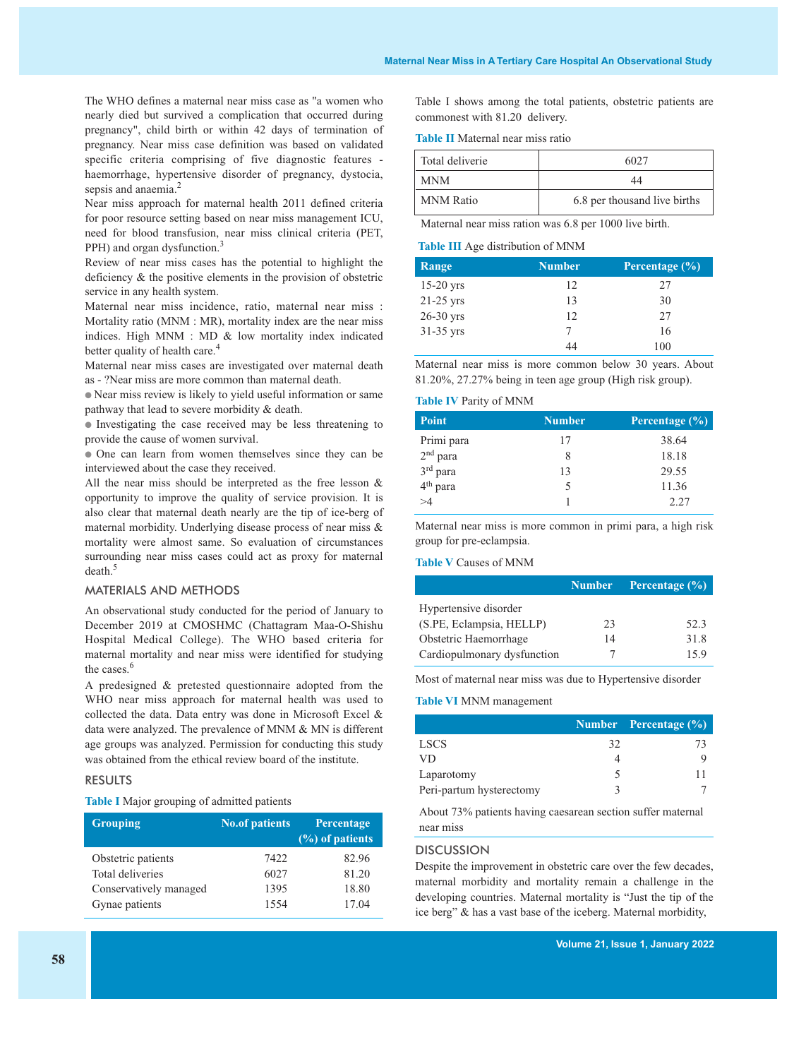The WHO defines a maternal near miss case as "a women who nearly died but survived a complication that occurred during pregnancy", child birth or within 42 days of termination of pregnancy. Near miss case definition was based on validated specific criteria comprising of five diagnostic features haemorrhage, hypertensive disorder of pregnancy, dystocia, sepsis and anaemia.<sup>2</sup>

Near miss approach for maternal health 2011 defined criteria for poor resource setting based on near miss management ICU, need for blood transfusion, near miss clinical criteria (PET, PPH) and organ dysfunction.<sup>3</sup>

Review of near miss cases has the potential to highlight the deficiency & the positive elements in the provision of obstetric service in any health system.

Maternal near miss incidence, ratio, maternal near miss : Mortality ratio (MNM : MR), mortality index are the near miss indices. High MNM : MD & low mortality index indicated better quality of health care.<sup>4</sup>

Maternal near miss cases are investigated over maternal death as - ?Near miss are more common than maternal death.

● Near miss review is likely to yield useful information or same pathway that lead to severe morbidity & death.

● Investigating the case received may be less threatening to provide the cause of women survival.

● One can learn from women themselves since they can be interviewed about the case they received.

All the near miss should be interpreted as the free lesson & opportunity to improve the quality of service provision. It is also clear that maternal death nearly are the tip of ice-berg of maternal morbidity. Underlying disease process of near miss & mortality were almost same. So evaluation of circumstances surrounding near miss cases could act as proxy for maternal death. 5

#### MATERIALS AND METHODS

An observational study conducted for the period of January to December 2019 at CMOSHMC (Chattagram Maa-O-Shishu Hospital Medical College). The WHO based criteria for maternal mortality and near miss were identified for studying the cases. 6

A predesigned & pretested questionnaire adopted from the WHO near miss approach for maternal health was used to collected the data. Data entry was done in Microsoft Excel & data were analyzed. The prevalence of MNM & MN is different age groups was analyzed. Permission for conducting this study was obtained from the ethical review board of the institute.

# RESULTS

# **Table I** Major grouping of admitted patients

| <b>Grouping</b>        | <b>No.of patients</b> | Percentage<br>(%) of patients |
|------------------------|-----------------------|-------------------------------|
| Obstetric patients     | 7422                  | 82.96                         |
| Total deliveries       | 6027                  | 81.20                         |
| Conservatively managed | 1395                  | 18.80                         |
| Gynae patients         | 1554                  | 17.04                         |

Table I shows among the total patients, obstetric patients are commonest with 81.20 delivery.

**Table II** Maternal near miss ratio

| Total deliverie  | 6027                         |
|------------------|------------------------------|
| <b>MNM</b>       |                              |
| <b>MNM</b> Ratio | 6.8 per thousand live births |

Maternal near miss ration was 6.8 per 1000 live birth.

#### **Table III** Age distribution of MNM

| Range       | <b>Number</b> | Percentage $(\%)$ |
|-------------|---------------|-------------------|
| $15-20$ yrs | 12            | 27                |
| $21-25$ yrs | 13            | 30                |
| 26-30 yrs   | 12            | 27                |
| $31-35$ yrs |               | 16                |
|             | 44            | 100               |

Maternal near miss is more common below 30 years. About 81.20%, 27.27% being in teen age group (High risk group).

#### **Table IV** Parity of MNM

| <b>Point</b>         | <b>Number</b> | Percentage $(\%)$ |
|----------------------|---------------|-------------------|
| Primi para           | 17            | 38.64             |
| 2 <sup>nd</sup> para | 8             | 18.18             |
| 3rd para             | 13            | 29.55             |
| 4 <sup>th</sup> para | 5             | 11.36             |
| >1                   |               | 2.27              |

Maternal near miss is more common in primi para, a high risk group for pre-eclampsia.

# **Table V** Causes of MNM

|                             |    | Number Percentage (%) |
|-----------------------------|----|-----------------------|
| Hypertensive disorder       |    |                       |
| (S.PE, Eclampsia, HELLP)    | 23 | 52.3                  |
| Obstetric Haemorrhage       | 14 | 31.8                  |
| Cardiopulmonary dysfunction |    | 15.9                  |

Most of maternal near miss was due to Hypertensive disorder

#### **Table VI** MNM management

|                          |    | Number Percentage (%) |
|--------------------------|----|-----------------------|
| <b>LSCS</b>              | 32 | 73                    |
| VD.                      |    |                       |
| Laparotomy               |    |                       |
| Peri-partum hysterectomy |    |                       |

About 73% patients having caesarean section suffer maternal near miss

#### **DISCUSSION**

Despite the improvement in obstetric care over the few decades, maternal morbidity and mortality remain a challenge in the developing countries. Maternal mortality is "Just the tip of the ice berg" & has a vast base of the iceberg. Maternal morbidity,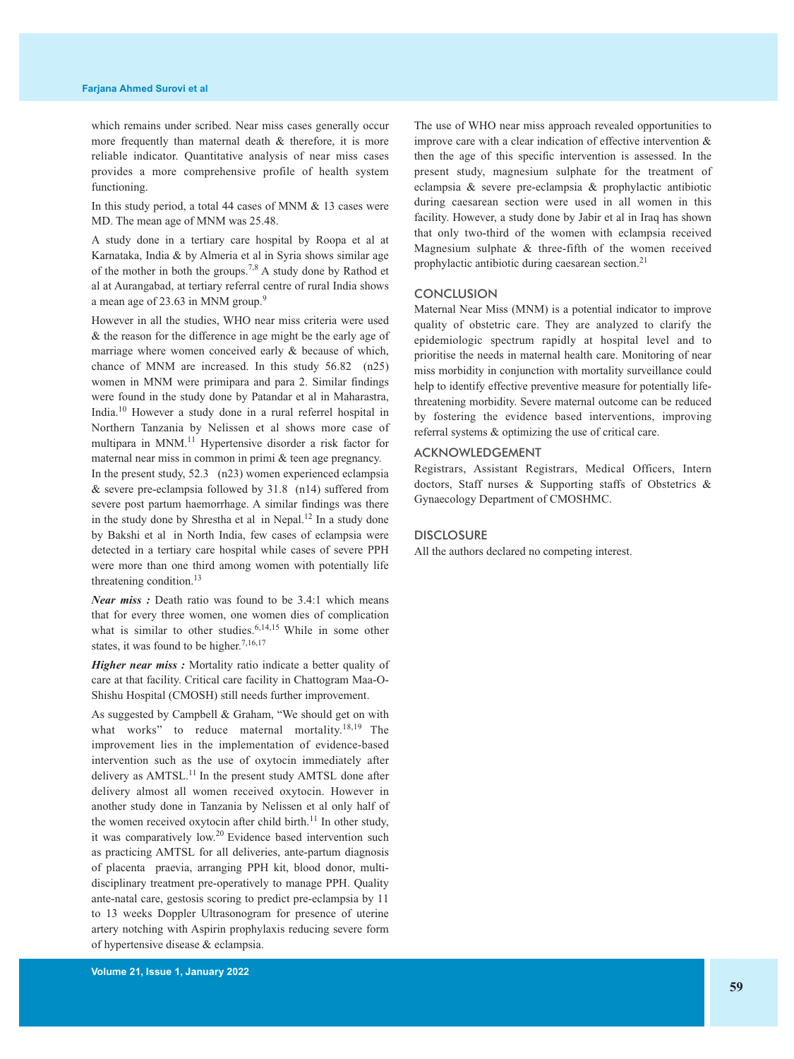which remains under scribed. Near miss cases generally occur more frequently than maternal death & therefore, it is more reliable indicator. Quantitative analysis of near miss cases provides a more comprehensive profile of health system functioning.

In this study period, a total 44 cases of MNM & 13 cases were MD. The mean age of MNM was 25.48.

A study done in a tertiary care hospital by Roopa et al at Karnataka, India & by Almeria et al in Syria shows similar age of the mother in both the groups.<sup>7,8</sup> A study done by Rathod et al at Aurangabad, at tertiary referral centre of rural India shows a mean age of 23.63 in MNM group.<sup>9</sup>

However in all the studies, WHO near miss criteria were used & the reason for the difference in age might be the early age of marriage where women conceived early & because of which, chance of MNM are increased. In this study 56.82 (n25) women in MNM were primipara and para 2. Similar findings were found in the study done by Patandar et al in Maharastra, India. <sup>10</sup> However a study done in a rural referrel hospital in Northern Tanzania by Nelissen et al shows more case of multipara in MNM. <sup>11</sup> Hypertensive disorder a risk factor for maternal near miss in common in primi & teen age pregnancy.

In the present study, 52.3 (n23) women experienced eclampsia & severe pre-eclampsia followed by 31.8 (n14) suffered from severe post partum haemorrhage. A similar findings was there in the study done by Shrestha et al in Nepal. <sup>12</sup> In a study done by Bakshi et al in North India, few cases of eclampsia were detected in a tertiary care hospital while cases of severe PPH were more than one third among women with potentially life threatening condition. 13

*Near miss :* Death ratio was found to be 3.4:1 which means that for every three women, one women dies of complication what is similar to other studies.<sup>6,14,15</sup> While in some other states, it was found to be higher.<sup>7,16,17</sup>

*Higher near miss :* Mortality ratio indicate a better quality of care at that facility. Critical care facility in Chattogram Maa-O-Shishu Hospital (CMOSH) still needs further improvement.

As suggested by Campbell & Graham, "We should get on with what works" to reduce maternal mortality.<sup>18,19</sup> The improvement lies in the implementation of evidence-based intervention such as the use of oxytocin immediately after delivery as AMTSL.<sup>11</sup> In the present study AMTSL done after delivery almost all women received oxytocin. However in another study done in Tanzania by Nelissen et al only half of the women received oxytocin after child birth.<sup>11</sup> In other study, it was comparatively low.<sup>20</sup> Evidence based intervention such as practicing AMTSL for all deliveries, ante-partum diagnosis of placenta praevia, arranging PPH kit, blood donor, multidisciplinary treatment pre-operatively to manage PPH. Quality ante-natal care, gestosis scoring to predict pre-eclampsia by 11 to 13 weeks Doppler Ultrasonogram for presence of uterine artery notching with Aspirin prophylaxis reducing severe form of hypertensive disease & eclampsia.

improve care with a clear indication of effective intervention & then the age of this specific intervention is assessed. In the present study, magnesium sulphate for the treatment of eclampsia & severe pre-eclampsia & prophylactic antibiotic during caesarean section were used in all women in this facility. However, a study done by Jabir et al in Iraq has shown that only two-third of the women with eclampsia received Magnesium sulphate & three-fifth of the women received prophylactic antibiotic during caesarean section.<sup>21</sup>

The use of WHO near miss approach revealed opportunities to

# **CONCLUSION**

Maternal Near Miss (MNM) is a potential indicator to improve quality of obstetric care. They are analyzed to clarify the epidemiologic spectrum rapidly at hospital level and to prioritise the needs in maternal health care. Monitoring of near miss morbidity in conjunction with mortality surveillance could help to identify effective preventive measure for potentially lifethreatening morbidity. Severe maternal outcome can be reduced by fostering the evidence based interventions, improving referral systems & optimizing the use of critical care.

# ACKNOWLEDGEMENT

Registrars, Assistant Registrars, Medical Officers, Intern doctors, Staff nurses & Supporting staffs of Obstetrics & Gynaecology Department of CMOSHMC.

#### **DISCLOSURE**

All the authors declared no competing interest.